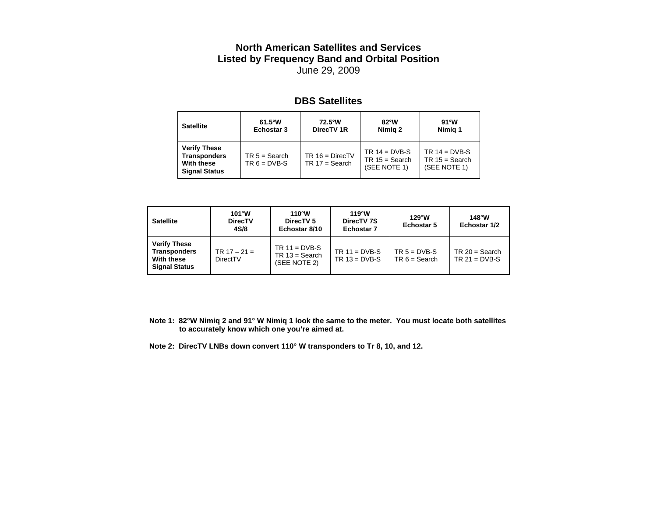## **North American Satellites and Services Listed by Frequency Band and Orbital Position** June 29, 2009

## **DBS Satellites**

| <b>Satellite</b>                                                                 | $61.5^{\circ}$ W                  | 72.5°W                                | $82^{\circ}$ W                                      | $91^{\circ}$ W                                      |
|----------------------------------------------------------------------------------|-----------------------------------|---------------------------------------|-----------------------------------------------------|-----------------------------------------------------|
|                                                                                  | Echostar 3                        | DirecTV <sub>1R</sub>                 | Nimig 2                                             | Nimig 1                                             |
| <b>Verify These</b><br><b>Transponders</b><br>With these<br><b>Signal Status</b> | $TR 5 = Search$<br>$TR 6 = DVB-S$ | $TR 16 = DirectV$<br>$TR 17 = Search$ | TR $14 = DVB-S$<br>$TR 15 = Search$<br>(SEE NOTE 1) | TR $14 = DVB-S$<br>$TR 15 = Search$<br>(SEE NOTE 1) |

| <b>Satellite</b>                                                                 | $101^{\circ}$ W<br><b>DirecTV</b><br>4S/8 | $110^{\circ}$ W<br>DirecTV <sub>5</sub><br>Echostar 8/10 | $119^{\circ}$ W<br>DirecTV 7S<br><b>Echostar 7</b> | $129^{\circ}$ W<br><b>Echostar 5</b> | $148^{\circ}$ W<br>Echostar 1/2     |
|----------------------------------------------------------------------------------|-------------------------------------------|----------------------------------------------------------|----------------------------------------------------|--------------------------------------|-------------------------------------|
| <b>Verify These</b><br><b>Transponders</b><br>With these<br><b>Signal Status</b> | TR $17 - 21 =$<br>DirectTV                | $TR 11 = DVB-S$<br>$TR 13 = Search$<br>(SEE NOTE 2)      | TR $11 = DVB-S$<br>$TR 13 = DVB-S$                 | $TR 5 = DVB-S$<br>$TR 6 = Search$    | $TR 20 = Search$<br>$TR 21 = DVB-S$ |

**Note 1: 82°W Nimiq 2 and 91° W Nimiq 1 look the same to the meter. You must locate both satellites to accurately know which one you're aimed at.**

**Note 2: DirecTV LNBs down convert 110° W transponders to Tr 8, 10, and 12.**